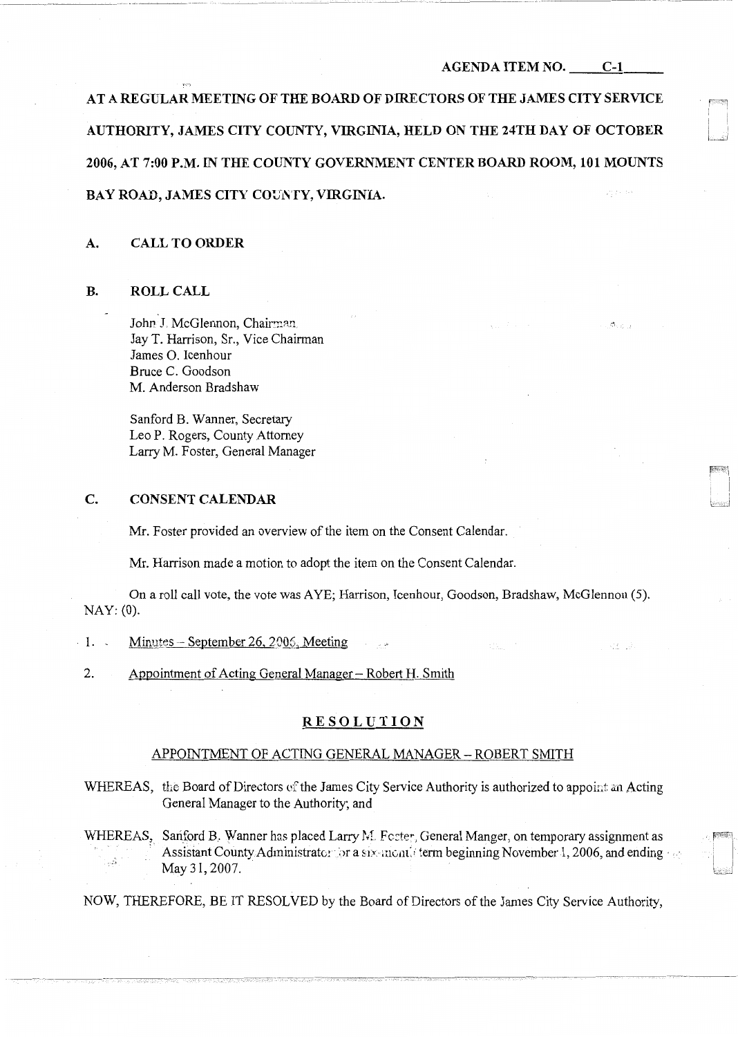$\mathcal{D}_{1,0,1,2}$ 

413.000

AT A REGULAR MEETING OF THE BOARD OF DIRECTORS OF THE JAMES CITY SERVICE AUTHORITY, JAMES CITY COUNTY, VIRGINIA, HELD ON THE 24TH DAY OF OCTOBER 2006, AT 7:00 P.M. IN THE COUNTY GOVERNMENT CENTER BOARD ROOM, 101 MOUNTS BAY ROAD, JAMES CITY COUNTY, VIRGINIA.

### A. CALL TO ORDER

#### B. ROLL CALL

John J. McGlennon, Chairman. Jay T. Harrison, Sr., Vice Chairman James 0. Icenhour Bruce C. Goodson M. Anderson Bradshaw

Sanford B. Wanner, Secretary Leo P. Rogers, County Attorney Larry M. Foster, General Manager

### C. CONSENT CALENDAR

Mr. Foster provided an overview of the item on the Consent Calendar.

Mr. Harrison made a motion to adopt the item on the Consent Calendar.

On a roll call vote, the vote was AYE; Harrison, Icenhour, Goodson, Bradshaw, McGlennon (5). NAY: (0).

- $\cdot$  1. Minutes September 26, 2006, Meeting
- 2. Appointment of Acting General Manager Robert H. Smith

## **RESOLUTION**

### APPOINTMENT OF ACTING GENERAL MANAGER- ROBERT SMITH

- WHEREAS, the Board of Directors of the James City Service Authority is authorized to appoint an Acting General Manager to the Authority; and
- WHEREAS, Sanford B. Wanner has placed Larry M. Foster, General Manger, on temporary assignment as :.1 Assistant County Administrator for a six-montal term beginning November 1, 2006, and ending  $\ll$ May 31, 2007.

NOW, THEREFORE, BE IT RESOLVED by the Board of Directors of the James City Service Authority,

--------·- -~·- --------